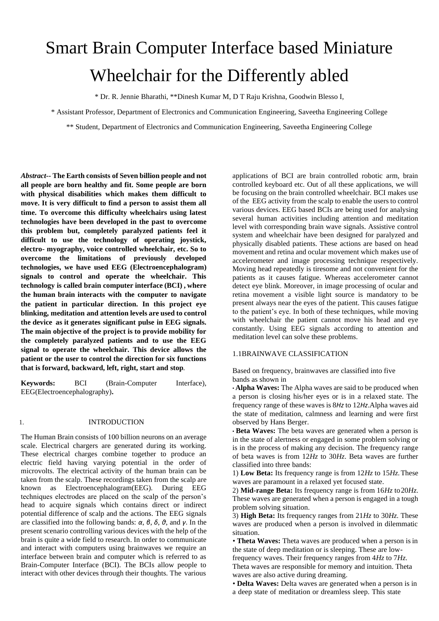# Smart Brain Computer Interface based Miniature Wheelchair for the Differently abled

\* Dr. R. Jennie Bharathi, \*\*Dinesh Kumar M, D T Raju Krishna, Goodwin Blesso I,

\* Assistant Professor, Department of Electronics and Communication Engineering, Saveetha Engineering College

\*\* Student, Department of Electronics and Communication Engineering, Saveetha Engineering College

*Abstract--* **The Earth consists of Seven billion people and not all people are born healthy and fit. Some people are born with physical disabilities which makes them difficult to move. It is very difficult to find a person to assist them all time. To overcome this difficulty wheelchairs using latest technologies have been developed in the past to overcome this problem but, completely paralyzed patients feel it difficult to use the technology of operating joystick, electro- myography, voice controlled wheelchair, etc. So to overcome the limitations of previously developed technologies, we have used EEG (Electroencephalogram) signals to control and operate the wheelchair. This technology is called brain computer interface (BCI) , where the human brain interacts with the computer to navigate the patient in particular direction. In this project eye blinking, meditation and attention levels are used to control the device as it generates significant pulse in EEG signals. The main objective of the project is to provide mobility for the completely paralyzed patients and to use the EEG signal to operate the wheelchair. This device allows the patient or the user to control the direction for six functions that is forward, backward, left, right, start and stop***.*

**Keywords:** BCI (Brain-Computer Interface), EEG(Electroencephalography)**.**

#### 1. INTRODUCTION

The Human Brain consists of 100 billion neurons on an average scale. Electrical chargers are generated during its working. These electrical charges combine together to produce an electric field having varying potential in the order of microvolts. The electrical activity of the human brain can be taken from the scalp. These recordings taken from the scalp are known as Electroencephalogram(EEG). During EEG techniques electrodes are placed on the scalp of the person's head to acquire signals which contains direct or indirect potential difference of scalp and the actions. The EEG signals are classified into the following bands: *α*, *β*, *δ*, *θ*, and *γ*. In the present scenario controlling various devices with the help of the brain is quite a wide field to research. In order to communicate and interact with computers using brainwaves we require an interface between brain and computer which is referred to as Brain-Computer Interface (BCI). The BCIs allow people to interact with other devices through their thoughts. The various

applications of BCI are brain controlled robotic arm, brain controlled keyboard etc. Out of all these applications, we will be focusing on the brain controlled wheelchair. BCI makes use of the EEG activity from the scalp to enable the users to control various devices. EEG based BCIs are being used for analysing several human activities including attention and meditation level with corresponding brain wave signals. Assistive control system and wheelchair have been designed for paralyzed and physically disabled patients. These actions are based on head movement and retina and ocular movement which makes use of accelerometer and image processing technique respectively. Moving head repeatedly is tiresome and not convenient for the patients as it causes fatigue. Whereas accelerometer cannot detect eye blink. Moreover, in image processing of ocular and retina movement a visible light source is mandatory to be present always near the eyes of the patient. This causes fatigue to the patient's eye. In both of these techniques, while moving with wheelchair the patient cannot move his head and eye constantly. Using EEG signals according to attention and meditation level can solve these problems.

## 1.1BRAINWAVE CLASSIFICATION

Based on frequency, brainwaves are classified into five bands as shown in

*•* **Alpha Waves:** The Alpha waves are said to be produced when a person is closing his/her eyes or is in a relaxed state. The frequency range of these waves is 8*Hz* to 12*Hz*.Alpha waves aid the state of meditation, calmness and learning and were first observed by Hans Berger.

*•* **Beta Waves:** The beta waves are generated when a person is in the state of alertness or engaged in some problem solving or is in the process of making any decision. The frequency range of beta waves is from 12*Hz* to 30*Hz*. Beta waves are further classified into three bands:

1) **Low Beta:** Its frequency range is from 12*Hz* to 15*Hz*.These waves are paramount in a relaxed yet focused state.

2) **Mid-range Beta:** Its frequency range is from 16*Hz* to20*Hz*. These waves are generated when a person is engaged in a tough problem solving situation.

3) **High Beta:** Its frequency ranges from 21*Hz* to 30*Hz*. These waves are produced when a person is involved in dilemmatic situation.

• Theta Waves: Theta waves are produced when a person is in the state of deep meditation or is sleeping. These are low-

frequency waves. Their frequency ranges from 4*Hz* to 7*Hz*. Theta waves are responsible for memory and intuition. Theta waves are also active during dreaming.

*•* **Delta Waves:** Delta waves are generated when a person is in a deep state of meditation or dreamless sleep. This state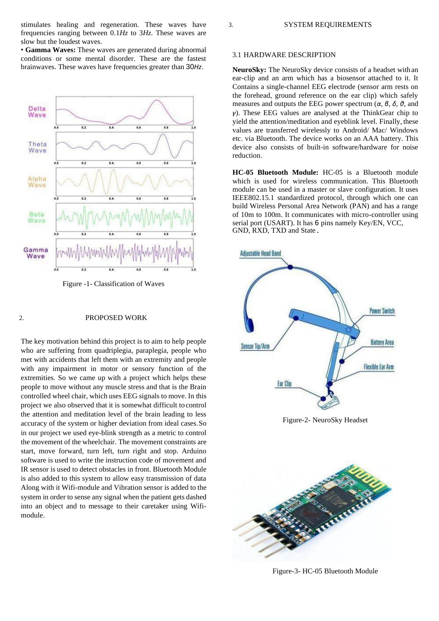stimulates healing and regeneration. These waves have frequencies ranging between 0*.*1*Hz* to 3*Hz*. These waves are slow but the loudest waves.

*•* **Gamma Waves:** These waves are generated during abnormal conditions or some mental disorder. These are the fastest brainwaves. These waves have frequencies greater than 30*Hz*.



Figure -1- Classification of Waves

### 2. PROPOSED WORK

The key motivation behind this project is to aim to help people who are suffering from quadriplegia, paraplegia, people who met with accidents that left them with an extremity and people with any impairment in motor or sensory function of the extremities. So we came up with a project which helps these people to move without any muscle stress and that is the Brain controlled wheel chair, which uses EEG signals to move. In this project we also observed that it is somewhat difficult tocontrol the attention and meditation level of the brain leading to less accuracy of the system or higher deviation from ideal cases.So in our project we used eye-blink strength as a metric to control the movement of the wheelchair. The movement constraints are start, move forward, turn left, turn right and stop. Arduino software is used to write the instruction code of movement and IR sensor is used to detect obstacles in front. Bluetooth Module is also added to this system to allow easy transmission of data Along with it Wifi-module and Vibration sensor is added to the system in order to sense any signal when the patient gets dashed into an object and to message to their caretaker using Wifimodule.

#### 3.1 HARDWARE DESCRIPTION

**NeuroSky:** The NeuroSky device consists of a headset with an ear-clip and an arm which has a biosensor attached to it. It Contains a single-channel EEG electrode (sensor arm rests on the forehead, ground reference on the ear clip) which safely measures and outputs the EEG power spectrum (*α*, *β*, *δ*, *θ*, and *γ*). These EEG values are analysed at the ThinkGear chip to yield the attention/meditation and eyeblink level. Finally, these values are transferred wirelessly to Android/ Mac/ Windows etc. via Bluetooth. The device works on an AAA battery. This device also consists of built-in software/hardware for noise reduction.

**HC-05 Bluetooth Module:** HC-05 is a Bluetooth module which is used for wireless communication. This Bluetooth module can be used in a master or slave configuration. It uses IEEE802.15.1 standardized protocol, through which one can build Wireless Personal Area Network (PAN) and has a range of 10m to 100m. It communicates with micro-controller using serial port (USART). It has 6 pins namely Key/EN, VCC, GND, RXD, TXD and State.



Figure-2- NeuroSky Headset



Figure-3- HC-05 Bluetooth Module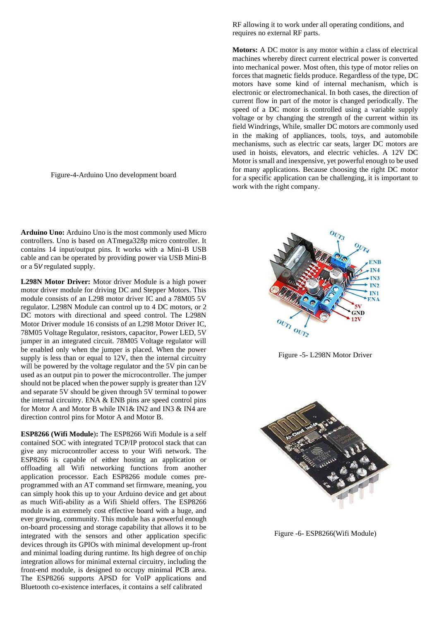Figure-4-Arduino Uno development board

**Arduino Uno:** Arduino Uno is the most commonly used Micro controllers. Uno is based on ATmega328p micro controller. It contains 14 input/output pins. It works with a Mini-B USB cable and can be operated by providing power via USB Mini-B or a 5*V* regulated supply.

**L298N Motor Driver:** Motor driver Module is a high power motor driver module for driving DC and Stepper Motors. This module consists of an L298 motor driver IC and a 78M05 5V regulator. L298N Module can control up to 4 DC motors, or 2 DC motors with directional and speed control. The L298N Motor Driver module 16 consists of an L298 Motor Driver IC, 78M05 Voltage Regulator, resistors, capacitor, Power LED, 5V jumper in an integrated circuit. 78M05 Voltage regulator will be enabled only when the jumper is placed. When the power supply is less than or equal to 12V, then the internal circuitry will be powered by the voltage regulator and the 5V pin can be used as an output pin to power the microcontroller. The jumper should not be placed when the power supply is greater than 12V and separate 5V should be given through 5V terminal to power the internal circuitry. ENA & ENB pins are speed control pins for Motor A and Motor B while IN1& IN2 and IN3 & IN4 are direction control pins for Motor A and Motor B.

**ESP8266 (Wifi Module**)**:** The ESP8266 Wifi Module is a self contained SOC with integrated TCP/IP protocol stack that can give any microcontroller access to your Wifi network. The ESP8266 is capable of either hosting an application or offloading all Wifi networking functions from another application processor. Each ESP8266 module comes preprogrammed with an AT command set firmware, meaning, you can simply hook this up to your Arduino device and get about as much Wifi-ability as a Wifi Shield offers. The ESP8266 module is an extremely cost effective board with a huge, and ever growing, community. This module has a powerful enough on-board processing and storage capability that allows it to be integrated with the sensors and other application specific devices through its GPIOs with minimal development up-front and minimal loading during runtime. Its high degree of on chip integration allows for minimal external circuitry, including the front-end module, is designed to occupy minimal PCB area. The ESP8266 supports APSD for VoIP applications and Bluetooth co-existence interfaces, it contains a self calibrated

RF allowing it to work under all operating conditions, and requires no external RF parts.

**Motors:** A DC motor is any motor within a class of electrical machines whereby direct current electrical power is converted into mechanical power. Most often, this type of motor relies on forces that magnetic fields produce. Regardless of the type, DC motors have some kind of internal mechanism, which is electronic or electromechanical. In both cases, the direction of current flow in part of the motor is changed periodically. The speed of a DC motor is controlled using a variable supply voltage or by changing the strength of the current within its field Windrings, While, smaller DC motors are commonly used in the making of appliances, tools, toys, and automobile mechanisms, such as electric car seats, larger DC motors are used in hoists, elevators, and electric vehicles. A 12V DC Motor is small and inexpensive, yet powerful enough to be used for many applications. Because choosing the right DC motor for a specific application can be challenging, it is important to work with the right company.



Figure -5- L298N Motor Driver



Figure -6- ESP8266(Wifi Module)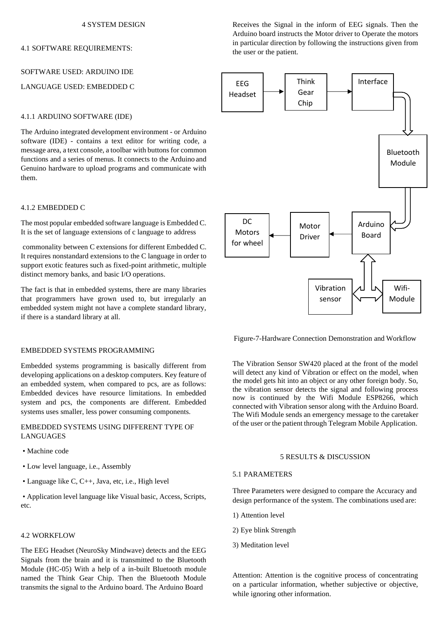#### 4 SYSTEM DESIGN

## 4.1 SOFTWARE REQUIREMENTS:

# SOFTWARE USED: ARDUINO IDE

## LANGUAGE USED: EMBEDDED C

## 4.1.1 ARDUINO SOFTWARE (IDE)

The Arduino integrated development environment - or Arduino software (IDE) - contains a text editor for writing code, a message area, a text console, a toolbar with buttonsfor common functions and a series of menus. It connects to the Arduino and Genuino hardware to upload programs and communicate with them.

### 4.1.2 EMBEDDED C

The most popular embedded software language is Embedded C. It is the set of language extensions of c language to address

commonality between C extensions for different Embedded C. It requires nonstandard extensions to the C language in order to support exotic features such as fixed-point arithmetic, multiple distinct memory banks, and basic I/O operations.

The fact is that in embedded systems, there are many libraries that programmers have grown used to, but irregularly an embedded system might not have a complete standard library, if there is a standard library at all.

## EMBEDDED SYSTEMS PROGRAMMING

Embedded systems programming is basically different from developing applications on a desktop computers. Key feature of an embedded system, when compared to pcs, are as follows: Embedded devices have resource limitations. In embedded system and pcs, the components are different. Embedded systems uses smaller, less power consuming components.

## EMBEDDED SYSTEMS USING DIFFERENT TYPE OF LANGUAGES

- Machine code
- Low level language, i.e., Assembly
- Language like C, C++, Java, etc, i.e., High level

• Application level language like Visual basic, Access, Scripts, etc.

#### 4.2 WORKFLOW

The EEG Headset (NeuroSky Mindwave) detects and the EEG Signals from the brain and it is transmitted to the Bluetooth Module (HC-05) With a help of a in-built Bluetooth module named the Think Gear Chip. Then the Bluetooth Module transmits the signal to the Arduino board. The Arduino Board

Receives the Signal in the inform of EEG signals. Then the Arduino board instructs the Motor driver to Operate the motors in particular direction by following the instructions given from the user or the patient.



Figure-7-Hardware Connection Demonstration and Workflow

The Vibration Sensor SW420 placed at the front of the model will detect any kind of Vibration or effect on the model, when the model gets hit into an object or any other foreign body. So, the vibration sensor detects the signal and following process now is continued by the Wifi Module ESP8266, which connected with Vibration sensor along with the Arduino Board. The Wifi Module sends an emergency message to the caretaker of the user or the patient through Telegram Mobile Application.

## 5 RESULTS & DISCUSSION

## 5.1 PARAMETERS

Three Parameters were designed to compare the Accuracy and design performance of the system. The combinations used are:

- 1) Attention level
- 2) Eye blink Strength
- 3) Meditation level

Attention: Attention is the cognitive process of concentrating on a particular information, whether subjective or objective, while ignoring other information.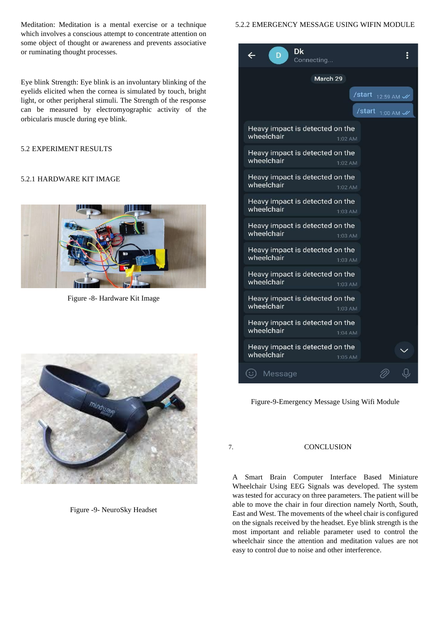Meditation: Meditation is a mental exercise or a technique which involves a conscious attempt to concentrate attention on some object of thought or awareness and prevents associative or ruminating thought processes.

Eye blink Strength: Eye blink is an involuntary blinking of the eyelids elicited when the cornea is simulated by touch, bright light, or other peripheral stimuli. The Strength of the response can be measured by electromyographic activity of the orbicularis muscle during eye blink.

# 5.2 EXPERIMENT RESULTS

# 5.2.1 HARDWARE KIT IMAGE



Figure -8- Hardware Kit Image



Figure -9- NeuroSky Headset

## 5.2.2 EMERGENCY MESSAGE USING WIFIN MODULE



Figure-9-Emergency Message Using Wifi Module

## 7. CONCLUSION

A Smart Brain Computer Interface Based Miniature Wheelchair Using EEG Signals was developed. The system was tested for accuracy on three parameters. The patient will be able to move the chair in four direction namely North, South, East and West. The movements of the wheel chair is configured on the signals received by the headset. Eye blink strength is the most important and reliable parameter used to control the wheelchair since the attention and meditation values are not easy to control due to noise and other interference.